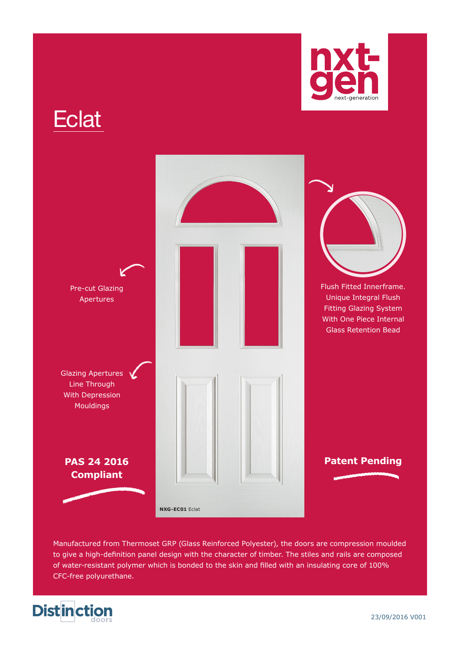



Manufactured from Thermoset GRP (Glass Reinforced Polyester), the doors are compression moulded to give a high-definition panel design with the character of timber. The stiles and rails are composed of water-resistant polymer which is bonded to the skin and filled with an insulating core of 100% CFC-free polyurethane.